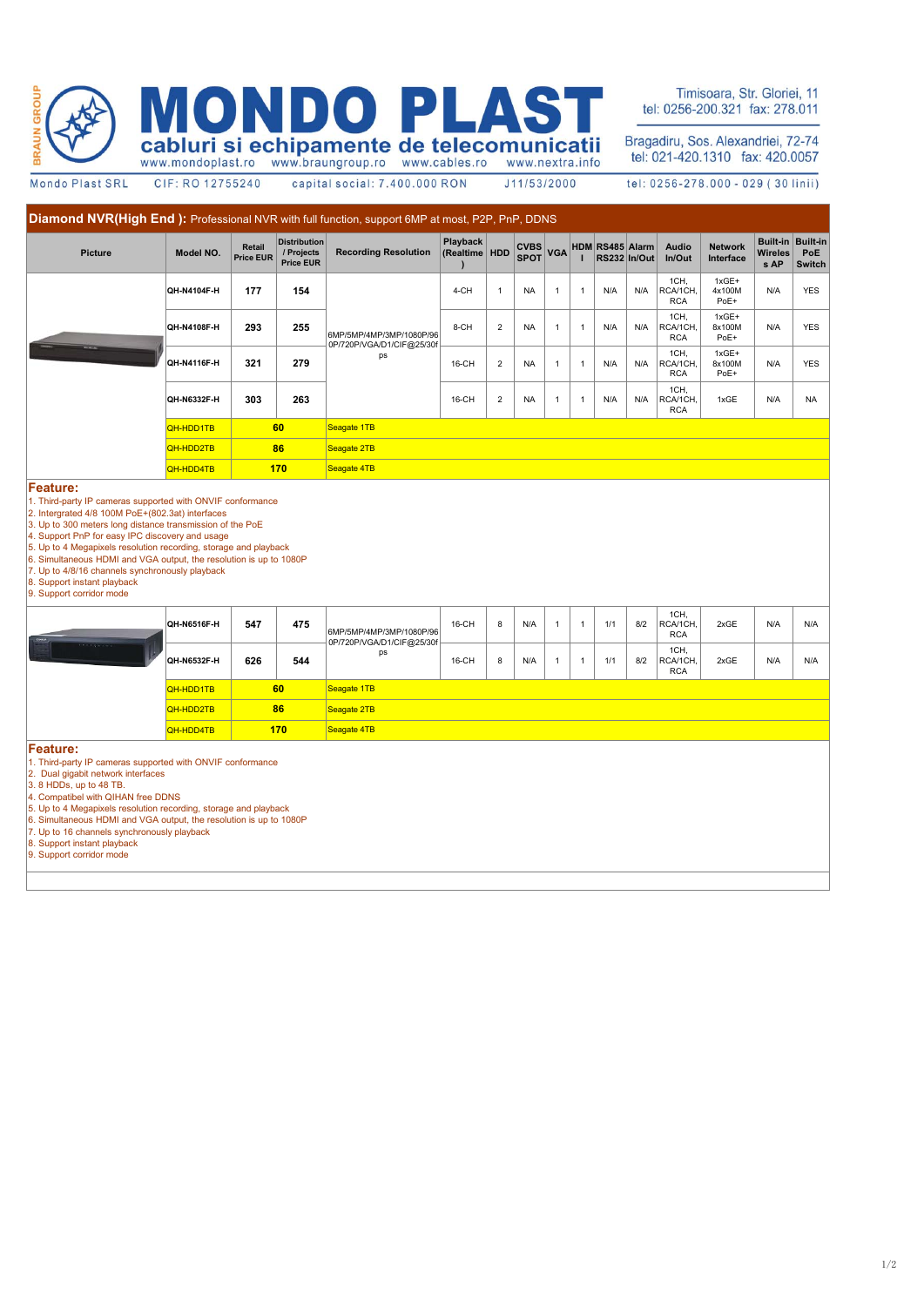

NDO D  $\Delta$ cabluri si echipamente de telecomunicatii

Timisoara, Str. Gloriei, 11 tel: 0256-200.321 fax: 278.011

Bragadiru, Sos. Alexandriei, 72-74<br>tel: 021-420.1310 fax: 420.0057

Mondo Plast SRL

CIF: RO 12755240

capital social: 7.400.000 RON

tel: 0256-278.000 - 029 (30 linii)

J11/53/2000

| Diamond NVR(High End): Professional NVR with full function, support 6MP at most, P2P, PnP, DDNS                                                                                                                                                                                                                                                                                                                                   |             |                            |                                                       |                                                             |                             |                |                            |                |              |                                 |     |                                |                             |                                    |                                         |  |
|-----------------------------------------------------------------------------------------------------------------------------------------------------------------------------------------------------------------------------------------------------------------------------------------------------------------------------------------------------------------------------------------------------------------------------------|-------------|----------------------------|-------------------------------------------------------|-------------------------------------------------------------|-----------------------------|----------------|----------------------------|----------------|--------------|---------------------------------|-----|--------------------------------|-----------------------------|------------------------------------|-----------------------------------------|--|
| Picture                                                                                                                                                                                                                                                                                                                                                                                                                           | Model NO.   | Retail<br><b>Price EUR</b> | <b>Distribution</b><br>/ Projects<br><b>Price EUR</b> | <b>Recording Resolution</b>                                 | Playback<br>(Realtime   HDD |                | <b>CVBS</b><br><b>SPOT</b> | <b>VGA</b>     |              | HDM RS485 Alarm<br>RS232 In/Out |     | <b>Audio</b><br>In/Out         | <b>Network</b><br>Interface | <b>Built-in</b><br>Wireles<br>s AP | <b>Built-in</b><br>PoE<br><b>Switch</b> |  |
|                                                                                                                                                                                                                                                                                                                                                                                                                                   | QH-N4104F-H | 177                        | 154                                                   |                                                             | 4-CH                        | $\mathbf{1}$   | <b>NA</b>                  | $\mathbf{1}$   | $\mathbf{1}$ | N/A                             | N/A | 1CH,<br>RCA/1CH.<br><b>RCA</b> | $1xGE+$<br>4x100M<br>PoE+   | N/A                                | <b>YES</b>                              |  |
|                                                                                                                                                                                                                                                                                                                                                                                                                                   | QH-N4108F-H | 293                        | 255                                                   | 6MP/5MP/4MP/3MP/1080P/96<br>0P/720P/VGA/D1/CIF@25/30f<br>ps | 8-CH                        | $\overline{2}$ | <b>NA</b>                  | $\overline{1}$ | $\mathbf{1}$ | N/A                             | N/A | 1CH,<br>RCA/1CH,<br><b>RCA</b> | 1xGE+<br>8x100M<br>PoE+     | N/A                                | <b>YES</b>                              |  |
|                                                                                                                                                                                                                                                                                                                                                                                                                                   | QH-N4116F-H | 321                        | 279                                                   |                                                             | 16-CH                       | $\overline{2}$ | <b>NA</b>                  | $\mathbf{1}$   | $\mathbf{1}$ | N/A                             | N/A | 1CH,<br>RCA/1CH,<br><b>RCA</b> | 1xGE+<br>8x100M<br>PoE+     | N/A                                | <b>YES</b>                              |  |
|                                                                                                                                                                                                                                                                                                                                                                                                                                   | QH-N6332F-H | 303                        | 263                                                   |                                                             | 16-CH                       | $\overline{2}$ | <b>NA</b>                  | $\mathbf{1}$   | 1            | N/A                             | N/A | 1CH,<br>RCA/1CH.<br><b>RCA</b> | 1xGE                        | N/A                                | <b>NA</b>                               |  |
|                                                                                                                                                                                                                                                                                                                                                                                                                                   | QH-HDD1TB   |                            | 60                                                    | Seagate 1TB                                                 |                             |                |                            |                |              |                                 |     |                                |                             |                                    |                                         |  |
|                                                                                                                                                                                                                                                                                                                                                                                                                                   | QH-HDD2TB   | 86                         |                                                       | Seagate 2TB                                                 |                             |                |                            |                |              |                                 |     |                                |                             |                                    |                                         |  |
|                                                                                                                                                                                                                                                                                                                                                                                                                                   | QH-HDD4TB   | 170                        |                                                       | Seagate 4TB                                                 |                             |                |                            |                |              |                                 |     |                                |                             |                                    |                                         |  |
| 5. Up to 4 Megapixels resolution recording, storage and playback<br>6. Simultaneous HDMI and VGA output, the resolution is up to 1080P<br>7. Up to 4/8/16 channels synchronously playback<br>8. Support instant playback<br>9. Support corridor mode                                                                                                                                                                              |             |                            |                                                       |                                                             |                             |                |                            |                |              |                                 |     | 1CH,                           |                             |                                    |                                         |  |
|                                                                                                                                                                                                                                                                                                                                                                                                                                   | QH-N6516F-H | 547                        | 475                                                   | 6MP/5MP/4MP/3MP/1080P/96<br>0P/720P/VGA/D1/CIF@25/30f       | 16-CH                       | 8              | N/A                        | $\overline{1}$ | $\mathbf{1}$ | 1/1                             | 8/2 | RCA/1CH,<br><b>RCA</b>         | 2xGE                        | N/A                                | N/A                                     |  |
|                                                                                                                                                                                                                                                                                                                                                                                                                                   | QH-N6532F-H | 626                        | 544                                                   | ps                                                          | 16-CH                       | 8              | N/A                        | $\mathbf{1}$   | 1            | 1/1                             | 8/2 | 1CH,<br>RCA/1CH,<br><b>RCA</b> | 2xGE                        | N/A                                | N/A                                     |  |
|                                                                                                                                                                                                                                                                                                                                                                                                                                   | QH-HDD1TB   |                            | 60                                                    | Seagate 1TB                                                 |                             |                |                            |                |              |                                 |     |                                |                             |                                    |                                         |  |
|                                                                                                                                                                                                                                                                                                                                                                                                                                   | QH-HDD2TB   | 86                         |                                                       | Seagate 2TB                                                 |                             |                |                            |                |              |                                 |     |                                |                             |                                    |                                         |  |
|                                                                                                                                                                                                                                                                                                                                                                                                                                   | QH-HDD4TB   | 170                        |                                                       | Seagate 4TB                                                 |                             |                |                            |                |              |                                 |     |                                |                             |                                    |                                         |  |
| Feature:<br>1. Third-party IP cameras supported with ONVIF conformance<br>2. Dual gigabit network interfaces<br>3. 8 HDDs, up to 48 TB.<br>4. Compatibel with QIHAN free DDNS<br>5. Up to 4 Megapixels resolution recording, storage and playback<br>6. Simultaneous HDMI and VGA output, the resolution is up to 1080P<br>7. Up to 16 channels synchronously playback<br>8. Support instant playback<br>9. Support corridor mode |             |                            |                                                       |                                                             |                             |                |                            |                |              |                                 |     |                                |                             |                                    |                                         |  |